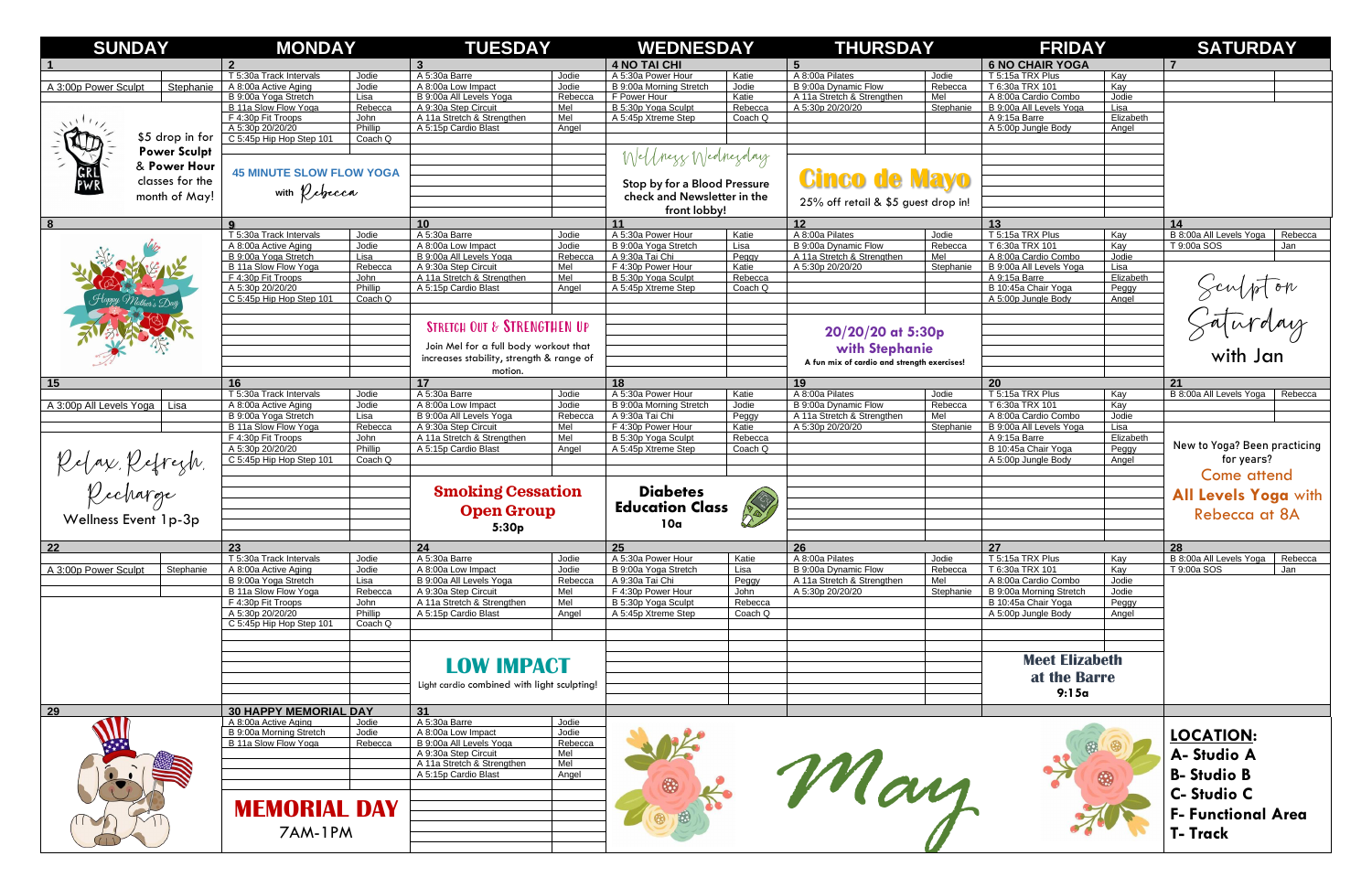| <b>SUNDAY</b>                                       |                 | <b>MONDAY</b>                                   |                    | <b>TUESDAY</b>                                     |                | <b>WEDNESDAY</b>                           |                    | <b>THURSDAY</b>                             |                  | <b>FRIDAY</b>                        |                    | <b>SATURDAY</b>                                          |
|-----------------------------------------------------|-----------------|-------------------------------------------------|--------------------|----------------------------------------------------|----------------|--------------------------------------------|--------------------|---------------------------------------------|------------------|--------------------------------------|--------------------|----------------------------------------------------------|
|                                                     |                 | $\mathbf{p}$                                    |                    | $\mathbf{3}$                                       |                | <b>4 NO TAI CHI</b>                        |                    |                                             |                  | <b>6 NO CHAIR YOGA</b>               |                    |                                                          |
|                                                     |                 | T 5:30a Track Intervals                         | Jodie              | A 5:30a Barre                                      | Jodie          | A 5:30a Power Hour                         | Katie              | A 8:00a Pilates                             | Jodie            | T 5:15a TRX Plus                     | Kay                |                                                          |
| A 3:00p Power Sculpt                                | Stephanie       | A 8:00a Active Aging                            | Jodie              | A 8:00a Low Impact                                 | Jodie          | B 9:00a Morning Stretch                    | Jodie              | B 9:00a Dynamic Flow                        | Rebecca          | T 6:30a TRX 101                      | Kay                |                                                          |
|                                                     |                 | B 9:00a Yoga Stretch                            | Lisa               | B 9:00a All Levels Yoga                            | Rebecca        | F Power Hour                               | Katie              | A 11a Stretch & Strengthen                  | Mel              | A 8:00a Cardio Combo                 | Jodie              |                                                          |
|                                                     |                 | B 11a Slow Flow Yoga                            | Rebecca            | A 9:30a Step Circuit                               | Mel            | B 5:30p Yoga Sculpt                        | Rebecca            | A 5:30p 20/20/20                            | Stephanie        | B 9:00a All Levels Yoga              | Lisa               |                                                          |
|                                                     |                 | F 4:30p Fit Troops                              | John               | A 11a Stretch & Strengthen                         | Mel            | A 5:45p Xtreme Step                        | Coach Q            |                                             |                  | A 9:15a Barre                        | Elizabeth          |                                                          |
| \$5 drop in for<br><b>Power Sculpt</b>              |                 | A 5:30p 20/20/20<br>C 5:45p Hip Hop Step 101    | Phillip<br>Coach Q | A 5:15p Cardio Blast                               | Angel          |                                            |                    |                                             |                  | A 5:00p Jungle Body                  | Angel              |                                                          |
|                                                     |                 |                                                 |                    |                                                    |                |                                            |                    |                                             |                  |                                      |                    |                                                          |
|                                                     |                 |                                                 |                    |                                                    |                | Wellness Wednesday                         |                    |                                             |                  |                                      |                    |                                                          |
|                                                     | & Power Hour    | <b>45 MINUTE SLOW FLOW YOGA</b>                 |                    |                                                    |                |                                            |                    |                                             |                  |                                      |                    |                                                          |
|                                                     | classes for the |                                                 |                    |                                                    |                | Stop by for a Blood Pressure               |                    | <b>Cinco de Mayo</b>                        |                  |                                      |                    |                                                          |
| month of May!                                       |                 | with <i><b><i>Q</i></b> ebecca</i>              |                    |                                                    |                | check and Newsletter in the                |                    |                                             |                  |                                      |                    |                                                          |
|                                                     |                 |                                                 |                    |                                                    |                | front lobby!                               |                    | 25% off retail & \$5 guest drop in!         |                  |                                      |                    |                                                          |
|                                                     |                 |                                                 |                    |                                                    |                |                                            |                    |                                             |                  |                                      |                    |                                                          |
| 8                                                   |                 | 9                                               |                    | 10                                                 |                | 11                                         |                    | 12<br>A 8:00a Pilates                       |                  | 13                                   |                    | 14                                                       |
|                                                     |                 | T 5:30a Track Intervals<br>A 8:00a Active Aging | Jodie<br>Jodie     | A 5:30a Barre<br>A 8:00a Low Impact                | Jodie<br>Jodie | A 5:30a Power Hour<br>B 9:00a Yoga Stretch | Katie<br>Lisa      | B 9:00a Dynamic Flow                        | Jodie<br>Rebecca | T 5:15a TRX Plus<br>T 6:30a TRX 101  | Kay<br>Kay         | B 8:00a All Levels Yoga<br>Rebecca<br>T 9:00a SOS<br>Jan |
|                                                     |                 | B 9:00a Yoga Stretch                            | Lisa               | B 9:00a All Levels Yoga                            | Rebecca        | A 9:30a Tai Chi                            | Peggy              | A 11a Stretch & Strengthen                  | Mel              | A 8:00a Cardio Combo                 | Jodie              |                                                          |
|                                                     |                 | B 11a Slow Flow Yoga                            | Rebecca            | A 9:30a Step Circuit                               | Mel            | F 4:30p Power Hour                         | Katie              | A 5:30p 20/20/20                            | Stephanie        | B 9:00a All Levels Yoga              | Lisa               |                                                          |
|                                                     |                 | F 4:30p Fit Troops                              | John               | A 11a Stretch & Strengthen                         | Mel            | B 5:30p Yoga Sculpt                        | Rebecca            |                                             |                  | A 9:15a Barre                        | Elizabeth          |                                                          |
|                                                     |                 | A 5:30p 20/20/20                                | Phillip            | A 5:15p Cardio Blast                               | Angel          | A 5:45p Xtreme Step                        | Coach Q            |                                             |                  | B 10:45a Chair Yoga                  | Peggy              |                                                          |
|                                                     |                 | C 5:45p Hip Hop Step 101                        | Coach Q            |                                                    |                |                                            |                    |                                             |                  | A 5:00p Jungle Body                  | Angel              |                                                          |
|                                                     |                 |                                                 |                    |                                                    |                |                                            |                    |                                             |                  |                                      |                    |                                                          |
|                                                     |                 |                                                 |                    | <b>STRETCH OUT &amp; STRENGTHEN UP</b>             |                |                                            |                    |                                             |                  |                                      |                    |                                                          |
|                                                     |                 |                                                 |                    |                                                    |                |                                            |                    | 20/20/20 at 5:30p                           |                  |                                      |                    |                                                          |
|                                                     |                 |                                                 |                    | Join Mel for a full body workout that              |                |                                            |                    | with Stephanie                              |                  |                                      |                    |                                                          |
|                                                     |                 |                                                 |                    | increases stability, strength & range of           |                |                                            |                    | A fun mix of cardio and strength exercises! |                  |                                      |                    | Sculpton<br>Saturday<br>with Jan                         |
|                                                     |                 |                                                 |                    | motion.                                            |                |                                            |                    |                                             |                  |                                      |                    |                                                          |
| 15                                                  |                 | 16                                              |                    | 17                                                 |                | 18                                         |                    | 19                                          |                  | 20                                   |                    | 21                                                       |
|                                                     |                 | T 5:30a Track Intervals                         | Jodie              | A 5:30a Barre                                      | Jodie          | A 5:30a Power Hour                         | Katie              | A 8:00a Pilates                             | Jodie            | T 5:15a TRX Plus                     | Kay                | B 8:00a All Levels Yoga<br>Rebecca                       |
| A 3:00p All Levels Yoga   Lisa                      |                 | A 8:00a Active Aging                            | Jodie              | A 8:00a Low Impact                                 | Jodie          | B 9:00a Morning Stretch                    | Jodie              | B 9:00a Dynamic Flow                        | Rebecca          | T 6:30a TRX 101                      | Kay                |                                                          |
|                                                     |                 | B 9:00a Yoga Stretch                            | Lisa               | B 9:00a All Levels Yoga                            | Rebecca        | A 9:30a Tai Chi                            | Peggy              | A 11a Stretch & Strengthen                  | Mel              | A 8:00a Cardio Combo                 | Jodie              |                                                          |
|                                                     |                 | B 11a Slow Flow Yoga                            | Rebecca            | A 9:30a Step Circuit                               | Mel            | F 4:30p Power Hour                         | Katie              | A 5:30p 20/20/20                            | Stephanie        | B 9:00a All Levels Yoga              | Lisa               |                                                          |
|                                                     |                 | F 4:30p Fit Troops<br>A 5:30p 20/20/20          | John<br>Phillip    | A 11a Stretch & Strengthen<br>A 5:15p Cardio Blast | Mel<br>Angel   | B 5:30p Yoga Sculpt<br>A 5:45p Xtreme Step | Rebecca<br>Coach Q |                                             |                  | A 9:15a Barre<br>B 10:45a Chair Yoga | Elizabeth<br>Peggy | New to Yoga? Been practicing                             |
| Relax, Refrezh,<br>Recharge<br>Wellness Event 1p-3p |                 | C 5:45p Hip Hop Step 101                        | Coach Q            |                                                    |                |                                            |                    |                                             |                  | A 5:00p Jungle Body                  | Angel              | for years?                                               |
|                                                     |                 |                                                 |                    |                                                    |                |                                            |                    |                                             |                  |                                      |                    |                                                          |
|                                                     |                 |                                                 |                    |                                                    |                |                                            |                    |                                             |                  |                                      |                    | Come attend                                              |
|                                                     |                 |                                                 |                    | <b>Smoking Cessation</b>                           |                |                                            | <b>Diabetes</b>    |                                             |                  |                                      |                    | All Levels Yoga with                                     |
|                                                     |                 |                                                 |                    | <b>Open Group</b>                                  |                | <b>RAID</b><br><b>Education Class</b>      |                    |                                             |                  |                                      |                    |                                                          |
|                                                     |                 |                                                 |                    |                                                    |                | 10a                                        |                    |                                             |                  |                                      |                    | <b>Rebecca at 8A</b>                                     |
|                                                     |                 |                                                 |                    | 5:30p                                              |                |                                            |                    |                                             |                  |                                      |                    |                                                          |
| 22                                                  |                 | 23                                              |                    | 24                                                 |                | 25                                         |                    | 26                                          |                  | 27                                   |                    | 28                                                       |
|                                                     |                 | T 5:30a Track Intervals                         | Jodie              | A 5:30a Barre                                      | Jodie          | A 5:30a Power Hour                         | Katie              | A 8:00a Pilates                             | Jodie            | T 5:15a TRX Plus                     | Kay                | B 8:00a All Levels Yoga<br>Rebecca                       |
| A 3:00p Power Sculpt                                | Stephanie       | A 8:00a Active Aging                            | Jodie              | A 8:00a Low Impact                                 | Jodie          | B 9:00a Yoga Stretch                       | Lisa               | B 9:00a Dynamic Flow                        | Rebecca          | T 6:30a TRX 101                      | Kay                | T 9:00a SOS<br>Jan                                       |
|                                                     |                 | B 9:00a Yoga Stretch                            | Lisa               | B 9:00a All Levels Yoga                            | Rebecca        | A 9:30a Tai Chi                            | Peggy              | A 11a Stretch & Strengthen                  | Mel              | A 8:00a Cardio Combo                 | Jodie              |                                                          |
|                                                     |                 | B 11a Slow Flow Yoga                            | Rebecca            | A 9:30a Step Circuit                               | Mel            | F 4:30p Power Hour                         | John               | A 5:30p 20/20/20                            | Stephanie        | B 9:00a Morning Stretch              | Jodie              |                                                          |
|                                                     |                 | F 4:30p Fit Troops                              | John<br>Phillip    | A 11a Stretch & Strengthen                         | Mel            | B 5:30p Yoga Sculpt                        | Rebecca            |                                             |                  | B 10:45a Chair Yoga                  | Peggy              |                                                          |
|                                                     |                 | A 5:30p 20/20/20                                | Coach Q            | A 5:15p Cardio Blast                               | Angel          | A 5:45p Xtreme Step                        | Coach Q            |                                             |                  | A 5:00p Jungle Body                  | Angel              |                                                          |
|                                                     |                 | C 5:45p Hip Hop Step 101                        |                    |                                                    |                |                                            |                    |                                             |                  |                                      |                    |                                                          |
|                                                     |                 |                                                 |                    |                                                    |                |                                            |                    |                                             |                  |                                      |                    |                                                          |
|                                                     |                 |                                                 |                    |                                                    |                |                                            |                    |                                             |                  | <b>Meet Elizabeth</b>                |                    |                                                          |
|                                                     |                 |                                                 |                    | <b>LOW IMPACT</b>                                  |                |                                            |                    |                                             |                  |                                      |                    |                                                          |
|                                                     |                 |                                                 |                    | Light cardio combined with light sculpting!        |                |                                            |                    |                                             |                  | at the Barre                         |                    |                                                          |
|                                                     |                 |                                                 |                    |                                                    |                |                                            |                    |                                             |                  | 9:15a                                |                    |                                                          |
| 29                                                  |                 | <b>30 HAPPY MEMORIAL DAY</b>                    |                    | 31                                                 |                |                                            |                    |                                             |                  |                                      |                    |                                                          |
|                                                     |                 | A 8:00a Active Aging<br>Jodie                   |                    | A 5:30a Barre                                      | Jodie          |                                            |                    |                                             |                  |                                      |                    |                                                          |
|                                                     |                 | B 9:00a Morning Stretch                         | Jodie              | A 8:00a Low Impact                                 | Jodie          |                                            |                    |                                             |                  |                                      |                    |                                                          |
|                                                     |                 | B 11a Slow Flow Yoga                            | Rebecca            | B 9:00a All Levels Yoga                            | Rebecca        |                                            |                    |                                             |                  |                                      |                    | <b>LOCATION:</b>                                         |
|                                                     |                 |                                                 |                    | A 9:30a Step Circuit                               | Mel            |                                            |                    |                                             |                  |                                      |                    | A-Studio A                                               |
|                                                     |                 |                                                 |                    | A 11a Stretch & Strengthen                         | Mel            |                                            |                    |                                             |                  |                                      |                    |                                                          |
|                                                     |                 |                                                 |                    | A 5:15p Cardio Blast                               | Angel          |                                            |                    |                                             |                  |                                      |                    | <b>B-Studio B</b>                                        |
|                                                     |                 |                                                 |                    |                                                    |                |                                            |                    |                                             |                  |                                      |                    | <b>C-Studio C</b>                                        |
|                                                     |                 |                                                 |                    |                                                    |                |                                            |                    |                                             |                  |                                      |                    |                                                          |
|                                                     |                 | <b>MEMORIAL DAY</b>                             |                    |                                                    |                |                                            |                    | Mary                                        |                  |                                      |                    | <b>F- Functional Area</b>                                |
|                                                     |                 |                                                 |                    |                                                    |                |                                            |                    |                                             |                  |                                      |                    |                                                          |
|                                                     |                 | 7AM-1PM                                         |                    |                                                    |                |                                            |                    |                                             |                  |                                      |                    | <b>T-Track</b>                                           |
|                                                     |                 |                                                 |                    |                                                    |                |                                            |                    |                                             |                  |                                      |                    |                                                          |